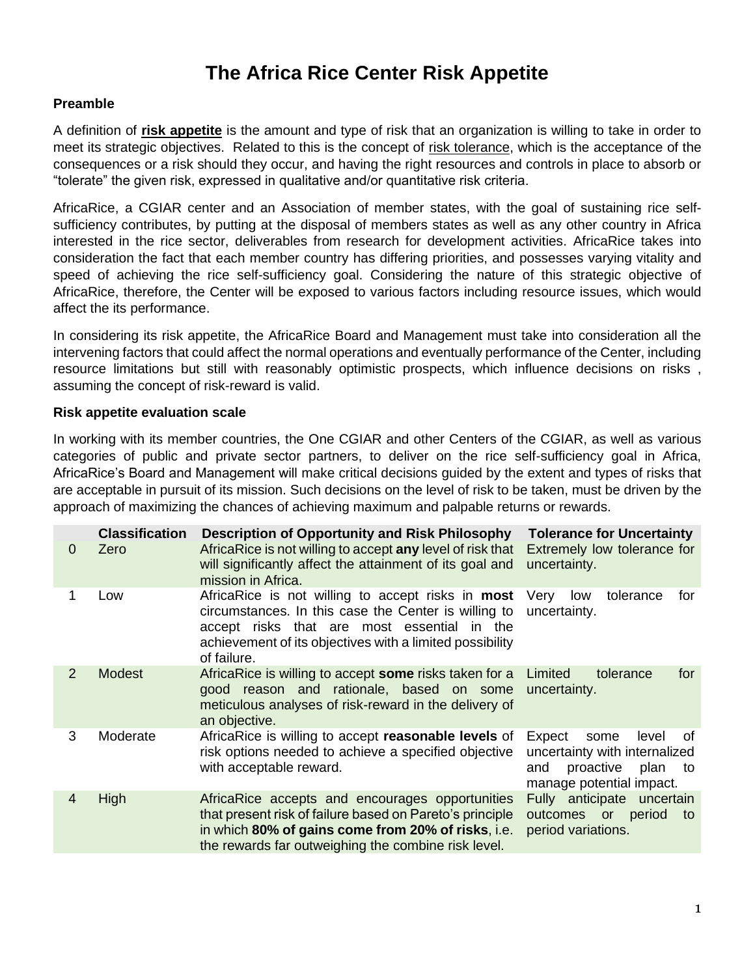## **The Africa Rice Center Risk Appetite**

## **Preamble**

A definition of **risk appetite** is the amount and type of risk that an organization is willing to take in order to meet its strategic objectives. Related to this is the concept of risk tolerance, which is the acceptance of the consequences or a risk should they occur, and having the right resources and controls in place to absorb or "tolerate" the given risk, expressed in qualitative and/or quantitative risk criteria.

AfricaRice, a CGIAR center and an Association of member states, with the goal of sustaining rice selfsufficiency contributes, by putting at the disposal of members states as well as any other country in Africa interested in the rice sector, deliverables from research for development activities. AfricaRice takes into consideration the fact that each member country has differing priorities, and possesses varying vitality and speed of achieving the rice self-sufficiency goal. Considering the nature of this strategic objective of AfricaRice, therefore, the Center will be exposed to various factors including resource issues, which would affect the its performance.

In considering its risk appetite, the AfricaRice Board and Management must take into consideration all the intervening factors that could affect the normal operations and eventually performance of the Center, including resource limitations but still with reasonably optimistic prospects, which influence decisions on risks , assuming the concept of risk-reward is valid.

## **Risk appetite evaluation scale**

In working with its member countries, the One CGIAR and other Centers of the CGIAR, as well as various categories of public and private sector partners, to deliver on the rice self-sufficiency goal in Africa, AfricaRice's Board and Management will make critical decisions guided by the extent and types of risks that are acceptable in pursuit of its mission. Such decisions on the level of risk to be taken, must be driven by the approach of maximizing the chances of achieving maximum and palpable returns or rewards.

| 0 | <b>Classification</b><br>Zero | <b>Description of Opportunity and Risk Philosophy</b><br>AfricaRice is not willing to accept any level of risk that<br>will significantly affect the attainment of its goal and<br>mission in Africa.                               | <b>Tolerance for Uncertainty</b><br>Extremely low tolerance for<br>uncertainty.                                              |
|---|-------------------------------|-------------------------------------------------------------------------------------------------------------------------------------------------------------------------------------------------------------------------------------|------------------------------------------------------------------------------------------------------------------------------|
|   | Low                           | AfricaRice is not willing to accept risks in most<br>circumstances. In this case the Center is willing to<br>accept risks that are most essential in the<br>achievement of its objectives with a limited possibility<br>of failure. | tolerance<br>Very<br>for<br>low<br>uncertainty.                                                                              |
| 2 | <b>Modest</b>                 | AfricaRice is willing to accept some risks taken for a<br>good reason and rationale, based on some<br>meticulous analyses of risk-reward in the delivery of<br>an objective.                                                        | Limited<br>tolerance<br>for<br>uncertainty.                                                                                  |
| 3 | Moderate                      | AfricaRice is willing to accept reasonable levels of<br>risk options needed to achieve a specified objective<br>with acceptable reward.                                                                                             | Expect<br>level<br>some<br>οf<br>uncertainty with internalized<br>plan<br>and<br>proactive<br>to<br>manage potential impact. |
| 4 | High                          | AfricaRice accepts and encourages opportunities<br>that present risk of failure based on Pareto's principle<br>in which 80% of gains come from 20% of risks, i.e.<br>the rewards far outweighing the combine risk level.            | Fully anticipate uncertain<br>outcomes or<br>period<br>to<br>period variations.                                              |